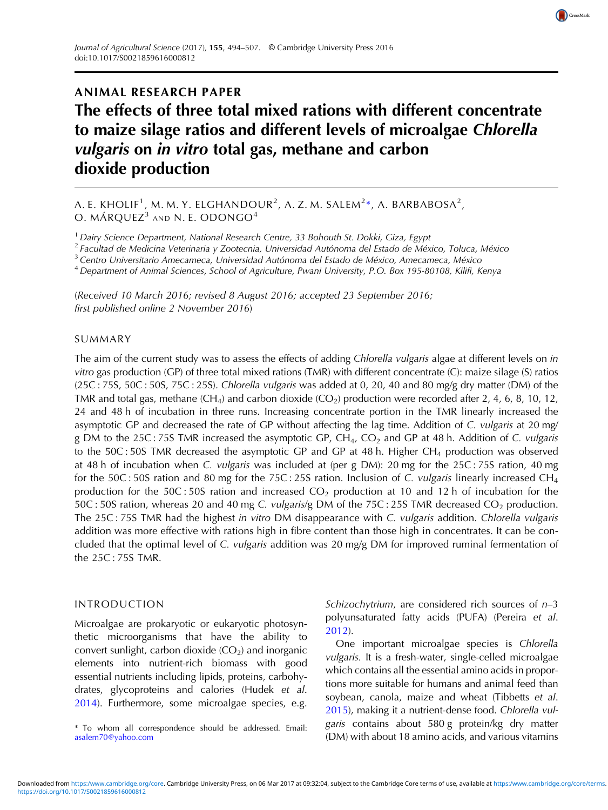

A. E. KHOLIF $^1$ , M. M. Y. ELGHANDOUR $^2$ , A. Z. M. SALEM $^{2\ast}$ , A. BARBABOSA $^2$ , O. MÁRQUEZ<sup>3</sup> AND N. E. ODONGO<sup>4</sup>

 $<sup>1</sup>$  Dairy Science Department, National Research Centre, 33 Bohouth St. Dokki, Giza, Egypt</sup>

<sup>2</sup> Facultad de Medicina Veterinaria y Zootecnia, Universidad Autónoma del Estado de México, Toluca, México

<sup>3</sup> Centro Universitario Amecameca, Universidad Autónoma del Estado de México, Amecameca, México

<sup>4</sup> Department of Animal Sciences, School of Agriculture, Pwani University, P.O. Box 195-80108, Kilifi, Kenya

(Received 10 March 2016; revised 8 August 2016; accepted 23 September 2016; first published online 2 November 2016)

### SUMMARY

The aim of the current study was to assess the effects of adding Chlorella vulgaris algae at different levels on in vitro gas production (GP) of three total mixed rations (TMR) with different concentrate (C): maize silage (S) ratios (25C : 75S, 50C : 50S, 75C : 25S). Chlorella vulgaris was added at 0, 20, 40 and 80 mg/g dry matter (DM) of the TMR and total gas, methane (CH<sub>4</sub>) and carbon dioxide (CO<sub>2</sub>) production were recorded after 2, 4, 6, 8, 10, 12, 24 and 48 h of incubation in three runs. Increasing concentrate portion in the TMR linearly increased the asymptotic GP and decreased the rate of GP without affecting the lag time. Addition of C. vulgaris at 20 mg/ g DM to the 25C : 75S TMR increased the asymptotic GP,  $CH_4$ ,  $CO_2$  and GP at 48 h. Addition of C. vulgaris to the 50C : 50S TMR decreased the asymptotic GP and GP at 48 h. Higher  $CH_4$  production was observed at 48 h of incubation when C. vulgaris was included at (per g DM): 20 mg for the 25C : 75S ration, 40 mg for the 50C : 50S ration and 80 mg for the 75C : 25S ration. Inclusion of C. vulgaris linearly increased CH<sub>4</sub> production for the 50C : 50S ration and increased  $CO<sub>2</sub>$  production at 10 and 12 h of incubation for the 50C : 50S ration, whereas 20 and 40 mg C. vulgaris/g DM of the 75C : 25S TMR decreased  $CO<sub>2</sub>$  production. The 25C : 75S TMR had the highest in vitro DM disappearance with C. vulgaris addition. Chlorella vulgaris addition was more effective with rations high in fibre content than those high in concentrates. It can be concluded that the optimal level of C. vulgaris addition was 20 mg/g DM for improved ruminal fermentation of the 25C : 75S TMR.

### INTRODUCTION

Microalgae are prokaryotic or eukaryotic photosynthetic microorganisms that have the ability to convert sunlight, carbon dioxide  $(CO_2)$  and inorganic elements into nutrient-rich biomass with good essential nutrients including lipids, proteins, carbohydrates, glycoproteins and calories (Hudek et al. [2014](#page-12-0)). Furthermore, some microalgae species, e.g.

[asalem70@yahoo.com](mailto:asalem70@yahoo.com)

Schizochytrium, are considered rich sources of  $n-3$ polyunsaturated fatty acids (PUFA) (Pereira et al. [2012](#page-12-0)).

CrossMark

One important microalgae species is Chlorella vulgaris. It is a fresh-water, single-celled microalgae which contains all the essential amino acids in proportions more suitable for humans and animal feed than soybean, canola, maize and wheat (Tibbetts et al. [2015](#page-13-0)), making it a nutrient-dense food. Chlorella vulgaris contains about 580 g protein/kg dry matter \* To whom all correspondence should be addressed. Email: 8000 and the about 500 g proteining this vitation as<br>(DM) with about 18 amino acids, and various vitamins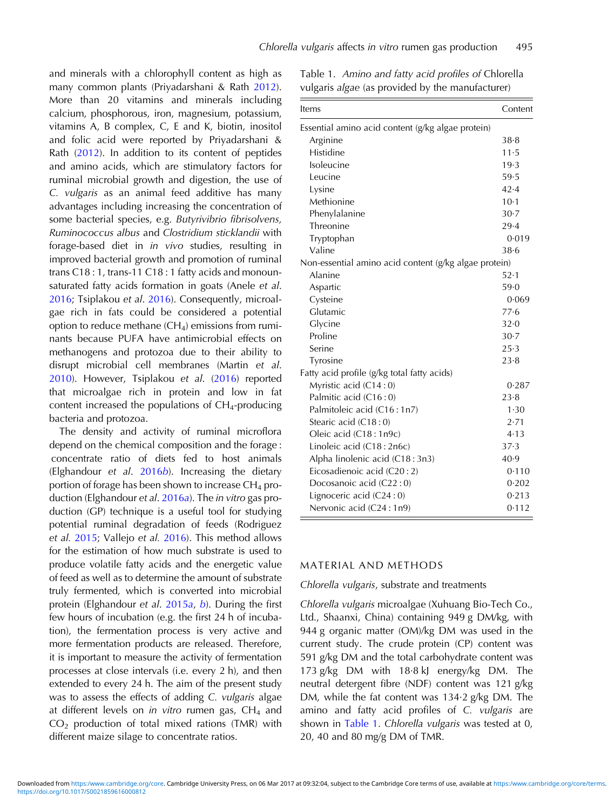and minerals with a chlorophyll content as high as many common plants (Priyadarshani & Rath [2012\)](#page-13-0). More than 20 vitamins and minerals including calcium, phosphorous, iron, magnesium, potassium, vitamins A, B complex, C, E and K, biotin, inositol and folic acid were reported by Priyadarshani & Rath [\(2012](#page-13-0)). In addition to its content of peptides and amino acids, which are stimulatory factors for ruminal microbial growth and digestion, the use of C. vulgaris as an animal feed additive has many advantages including increasing the concentration of some bacterial species, e.g. Butyrivibrio fibrisolvens, Ruminococcus albus and Clostridium sticklandii with forage-based diet in in vivo studies, resulting in improved bacterial growth and promotion of ruminal trans C18 : 1, trans-11 C18 : 1 fatty acids and monounsaturated fatty acids formation in goats (Anele et al. [2016](#page-11-0); Tsiplakou et al. [2016](#page-13-0)). Consequently, microalgae rich in fats could be considered a potential option to reduce methane  $(CH<sub>4</sub>)$  emissions from ruminants because PUFA have antimicrobial effects on methanogens and protozoa due to their ability to disrupt microbial cell membranes (Martin et al. [2010](#page-12-0)). However, Tsiplakou et al. ([2016\)](#page-13-0) reported that microalgae rich in protein and low in fat content increased the populations of  $CH_4$ -producing bacteria and protozoa.

The density and activity of ruminal microflora depend on the chemical composition and the forage : concentrate ratio of diets fed to host animals (Elghandour et al. [2016](#page-12-0)b). Increasing the dietary portion of forage has been shown to increase  $CH_4$  production (Elghandour et al. [2016](#page-12-0)a). The in vitro gas production (GP) technique is a useful tool for studying potential ruminal degradation of feeds (Rodriguez et al. [2015](#page-13-0); Vallejo et al. [2016\)](#page-13-0). This method allows for the estimation of how much substrate is used to produce volatile fatty acids and the energetic value of feed as well as to determine the amount of substrate truly fermented, which is converted into microbial protein (Elghandour et al. [2015](#page-12-0)a, [b](#page-12-0)). During the first few hours of incubation (e.g. the first 24 h of incubation), the fermentation process is very active and more fermentation products are released. Therefore, it is important to measure the activity of fermentation processes at close intervals (i.e. every 2 h), and then extended to every 24 h. The aim of the present study was to assess the effects of adding C. vulgaris algae at different levels on in vitro rumen gas,  $CH<sub>4</sub>$  and  $CO<sub>2</sub>$  production of total mixed rations (TMR) with different maize silage to concentrate ratios.

Table 1. Amino and fatty acid profiles of Chlorella vulgaris algae (as provided by the manufacturer)

| Items                                                 | Content |  |  |  |  |  |  |
|-------------------------------------------------------|---------|--|--|--|--|--|--|
| Essential amino acid content (g/kg algae protein)     |         |  |  |  |  |  |  |
| Arginine                                              | 38.8    |  |  |  |  |  |  |
| Histidine                                             |         |  |  |  |  |  |  |
| Isoleucine                                            | 19.3    |  |  |  |  |  |  |
| Leucine                                               | 59.5    |  |  |  |  |  |  |
| Lysine                                                | 42.4    |  |  |  |  |  |  |
| Methionine                                            | $10-1$  |  |  |  |  |  |  |
| Phenylalanine                                         | $30-7$  |  |  |  |  |  |  |
| Threonine                                             | 29.4    |  |  |  |  |  |  |
| Tryptophan                                            | 0.019   |  |  |  |  |  |  |
| Valine                                                | 38.6    |  |  |  |  |  |  |
| Non-essential amino acid content (g/kg algae protein) |         |  |  |  |  |  |  |
| Alanine                                               | 52.1    |  |  |  |  |  |  |
| Aspartic                                              | 59.0    |  |  |  |  |  |  |
| Cysteine                                              | 0.069   |  |  |  |  |  |  |
| Glutamic                                              |         |  |  |  |  |  |  |
| Glycine                                               | 32.0    |  |  |  |  |  |  |
| Proline                                               | $30-7$  |  |  |  |  |  |  |
| Serine                                                |         |  |  |  |  |  |  |
| Tyrosine                                              | 23.8    |  |  |  |  |  |  |
| Fatty acid profile (g/kg total fatty acids)           |         |  |  |  |  |  |  |
| Myristic acid (C14:0)                                 | 0.287   |  |  |  |  |  |  |
| Palmitic acid (C16:0)                                 | 23.8    |  |  |  |  |  |  |
| Palmitoleic acid (C16:1n7)                            | 1.30    |  |  |  |  |  |  |
| Stearic acid (C18:0)                                  | 2.71    |  |  |  |  |  |  |
| Oleic acid (C18: 1n9c)                                | 4.13    |  |  |  |  |  |  |
| Linoleic acid (C18:2n6c)                              | 37.3    |  |  |  |  |  |  |
| Alpha linolenic acid (C18:3n3)                        | 40.9    |  |  |  |  |  |  |
| Eicosadienoic acid (C20:2)                            | 0.110   |  |  |  |  |  |  |
| Docosanoic acid (C22:0)                               | 0.202   |  |  |  |  |  |  |
| Lignoceric acid (C24:0)                               | 0.213   |  |  |  |  |  |  |
| Nervonic acid (C24:1n9)                               | 0.112   |  |  |  |  |  |  |

## MATERIAL AND METHODS

#### Chlorella vulgaris, substrate and treatments

Chlorella vulgaris microalgae (Xuhuang Bio-Tech Co., Ltd., Shaanxi, China) containing 949 g DM/kg, with 944 g organic matter (OM)/kg DM was used in the current study. The crude protein (CP) content was 591 g/kg DM and the total carbohydrate content was 173 g/kg DM with 18·8 kJ energy/kg DM. The neutral detergent fibre (NDF) content was 121 g/kg DM, while the fat content was 134·2 g/kg DM. The amino and fatty acid profiles of C. vulgaris are shown in Table 1. Chlorella vulgaris was tested at 0, 20, 40 and 80 mg/g DM of TMR.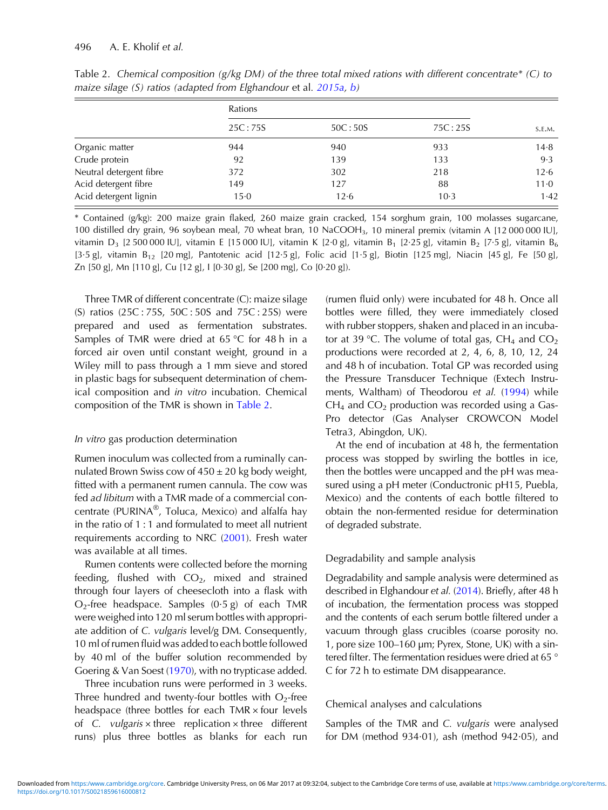|                         | Rations  |         |         |          |
|-------------------------|----------|---------|---------|----------|
|                         | 25C:75S  | 50C:50S | 75C:25S | S.E.M.   |
| Organic matter          | 944      | 940     | 933     | 14.8     |
| Crude protein           | 92       | 139     | 133     | 9.3      |
| Neutral detergent fibre | 372      | 302     | 218     | 12.6     |
| Acid detergent fibre    | 149      | 127     | 88      | $11 - 0$ |
| Acid detergent lignin   | $15 - 0$ | 12.6    | $10-3$  | 1.42     |

Table 2. Chemical composition (g/kg DM) of the three total mixed rations with different concentrate\* (C) to maize silage (S) ratios (adapted from Elghandour et al. [2015a](#page-12-0), [b\)](#page-12-0)

\* Contained (g/kg): 200 maize grain flaked, 260 maize grain cracked, 154 sorghum grain, 100 molasses sugarcane, 100 distilled dry grain, 96 soybean meal, 70 wheat bran, 10 NaCOOH3, 10 mineral premix (vitamin A [12 000 000 IU], vitamin D<sub>3</sub> [2 500 000 IU], vitamin E [15 000 IU], vitamin K [2·0 g], vitamin B<sub>1</sub> [2·25 g], vitamin B<sub>2</sub> [7·5 g], vitamin B<sub>6</sub> [3·5 g], vitamin B<sub>12</sub> [20 mg], Pantotenic acid [12·5 g], Folic acid [1·5 g], Biotin [125 mg], Niacin [45 g], Fe [50 g], Zn [50 g], Mn [110 g], Cu [12 g], I [0·30 g], Se [200 mg], Co [0·20 g]).

Three TMR of different concentrate (C): maize silage (S) ratios (25C : 75S, 50C : 50S and 75C : 25S) were prepared and used as fermentation substrates. Samples of TMR were dried at 65 °C for 48 h in a forced air oven until constant weight, ground in a Wiley mill to pass through a 1 mm sieve and stored in plastic bags for subsequent determination of chemical composition and in vitro incubation. Chemical composition of the TMR is shown in Table 2.

#### In vitro gas production determination

Rumen inoculum was collected from a ruminally cannulated Brown Swiss cow of  $450 \pm 20$  kg body weight, fitted with a permanent rumen cannula. The cow was fed ad libitum with a TMR made of a commercial concentrate (PURINA®, Toluca, Mexico) and alfalfa hay in the ratio of 1 : 1 and formulated to meet all nutrient requirements according to NRC [\(2001](#page-12-0)). Fresh water was available at all times.

Rumen contents were collected before the morning feeding, flushed with  $CO<sub>2</sub>$ , mixed and strained through four layers of cheesecloth into a flask with  $O_2$ -free headspace. Samples  $(0.5 \text{ g})$  of each TMR were weighed into 120 ml serum bottles with appropriate addition of C. vulgaris level/g DM. Consequently, 10 ml of rumen fluid was added to each bottle followed by 40 ml of the buffer solution recommended by Goering & Van Soest [\(1970](#page-12-0)), with no trypticase added.

Three incubation runs were performed in 3 weeks. Three hundred and twenty-four bottles with  $O_2$ -free headspace (three bottles for each TMR × four levels of C. vulgaris  $\times$  three replication  $\times$  three different runs) plus three bottles as blanks for each run

(rumen fluid only) were incubated for 48 h. Once all bottles were filled, they were immediately closed with rubber stoppers, shaken and placed in an incubator at 39 °C. The volume of total gas,  $CH_4$  and  $CO_2$ productions were recorded at 2, 4, 6, 8, 10, 12, 24 and 48 h of incubation. Total GP was recorded using the Pressure Transducer Technique (Extech Instruments, Waltham) of Theodorou et al. ([1994\)](#page-13-0) while  $CH<sub>4</sub>$  and  $CO<sub>2</sub>$  production was recorded using a Gas-Pro detector (Gas Analyser CROWCON Model Tetra3, Abingdon, UK).

At the end of incubation at 48 h, the fermentation process was stopped by swirling the bottles in ice, then the bottles were uncapped and the pH was measured using a pH meter (Conductronic pH15, Puebla, Mexico) and the contents of each bottle filtered to obtain the non-fermented residue for determination of degraded substrate.

### Degradability and sample analysis

Degradability and sample analysis were determined as described in Elghandour et al. ([2014\)](#page-11-0). Briefly, after 48 h of incubation, the fermentation process was stopped and the contents of each serum bottle filtered under a vacuum through glass crucibles (coarse porosity no. 1, pore size 100–160 µm; Pyrex, Stone, UK) with a sintered filter. The fermentation residues were dried at 65 ° C for 72 h to estimate DM disappearance.

#### Chemical analyses and calculations

Samples of the TMR and C. vulgaris were analysed for DM (method 934·01), ash (method 942·05), and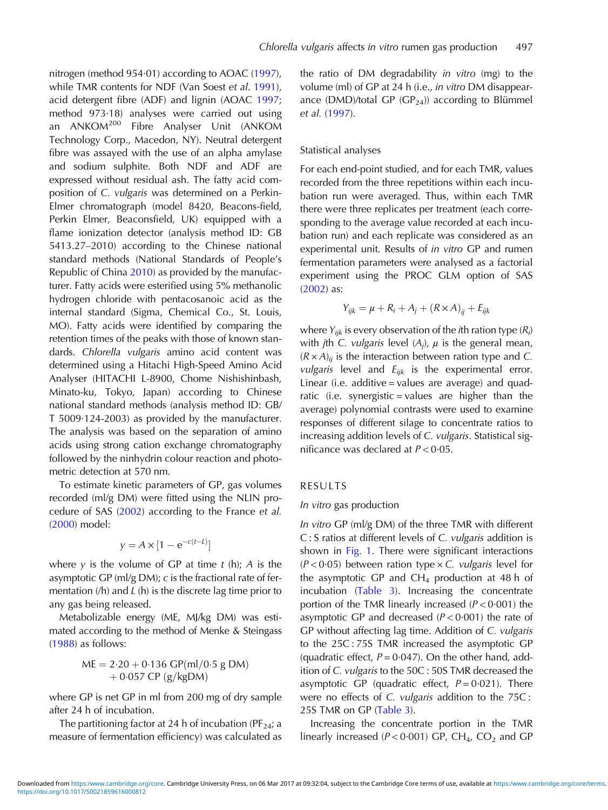nitrogen (method 954·01) according to AOAC ([1997\)](#page-11-0), while TMR contents for NDF (Van Soest et al. [1991\)](#page-13-0), acid detergent fibre (ADF) and lignin (AOAC [1997](#page-11-0); method 973·18) analyses were carried out using an ANKOM<sup>200</sup> Fibre Analyser Unit (ANKOM Technology Corp., Macedon, NY). Neutral detergent fibre was assayed with the use of an alpha amylase and sodium sulphite. Both NDF and ADF are expressed without residual ash. The fatty acid composition of C. vulgaris was determined on a Perkin-Elmer chromatograph (model 8420, Beacons-field, Perkin Elmer, Beaconsfield, UK) equipped with a flame ionization detector (analysis method ID: GB 5413.27–2010) according to the Chinese national standard methods (National Standards of People's Republic of China [2010\)](#page-12-0) as provided by the manufacturer. Fatty acids were esterified using 5% methanolic hydrogen chloride with pentacosanoic acid as the internal standard (Sigma, Chemical Co., St. Louis, MO). Fatty acids were identified by comparing the retention times of the peaks with those of known standards. Chlorella vulgaris amino acid content was determined using a Hitachi High-Speed Amino Acid Analyser (HITACHI L-8900, Chome Nishishinbash, Minato-ku, Tokyo, Japan) according to Chinese national standard methods (analysis method ID: GB/ T 5009·124-2003) as provided by the manufacturer. The analysis was based on the separation of amino acids using strong cation exchange chromatography followed by the ninhydrin colour reaction and photometric detection at 570 nm.

To estimate kinetic parameters of GP, gas volumes recorded (ml/g DM) were fitted using the NLIN procedure of SAS ([2002](#page-13-0)) according to the France et al. ([2000](#page-12-0)) model:

$$
y = A \times [1 - e^{-c(t - L)}]
$$

where y is the volume of GP at time  $t$  (h); A is the asymptotic GP (ml/g DM); c is the fractional rate of fermentation  $(h)$  and  $L(h)$  is the discrete lag time prior to any gas being released.

Metabolizable energy (ME, MJ/kg DM) was estimated according to the method of Menke & Steingass ([1988](#page-12-0)) as follows:

$$
ME = 2.20 + 0.136 \text{ GP}(ml/0.5 \text{ g DM}) + 0.057 \text{ CP} (g/kgDM)
$$

where GP is net GP in ml from 200 mg of dry sample after 24 h of incubation.

The partitioning factor at 24 h of incubation (PF $_{24}$ ; a measure of fermentation efficiency) was calculated as

the ratio of DM degradability in vitro (mg) to the volume (ml) of GP at 24 h (i.e., in vitro DM disappearance (DMD)/total GP (GP<sub>24</sub>)) according to Blümmel et al. ([1997](#page-11-0)).

### Statistical analyses

For each end-point studied, and for each TMR, values recorded from the three repetitions within each incubation run were averaged. Thus, within each TMR there were three replicates per treatment (each corresponding to the average value recorded at each incubation run) and each replicate was considered as an experimental unit. Results of in vitro GP and rumen fermentation parameters were analysed as a factorial experiment using the PROC GLM option of SAS ([2002](#page-13-0)) as:

$$
Y_{ijk} = \mu + R_i + A_j + (R \times A)_{ij} + E_{ijk}
$$

where  $Y_{ijk}$  is every observation of the *i*th ration type ( $R_i$ ) with *j*th C. *vulgaris* level  $(A_j)$ ,  $\mu$  is the general mean,  $(R \times A)_{ii}$  is the interaction between ration type and C. *vulgaris* level and  $E_{ijk}$  is the experimental error. Linear (i.e. additive = values are average) and quadratic (i.e. synergistic = values are higher than the average) polynomial contrasts were used to examine responses of different silage to concentrate ratios to increasing addition levels of C. vulgaris. Statistical significance was declared at  $P < 0.05$ .

#### RESULTS

#### In vitro gas production

In vitro GP (ml/g DM) of the three TMR with different C : S ratios at different levels of C. vulgaris addition is shown in [Fig. 1](#page-4-0). There were significant interactions  $(P < 0.05)$  between ration type  $\times$  C. vulgaris level for the asymptotic GP and  $CH_4$  production at 48 h of incubation [\(Table 3](#page-5-0)). Increasing the concentrate portion of the TMR linearly increased  $(P < 0.001)$  the asymptotic GP and decreased  $(P < 0.001)$  the rate of GP without affecting lag time. Addition of C. vulgaris to the 25C : 75S TMR increased the asymptotic GP (quadratic effect,  $P = 0.047$ ). On the other hand, addition of C. vulgaris to the 50C : 50S TMR decreased the asymptotic GP (quadratic effect,  $P = 0.021$ ). There were no effects of C. vulgaris addition to the 75C : 25S TMR on GP ([Table 3](#page-5-0)).

Increasing the concentrate portion in the TMR linearly increased ( $P < 0.001$ ) GP, CH<sub>4</sub>, CO<sub>2</sub> and GP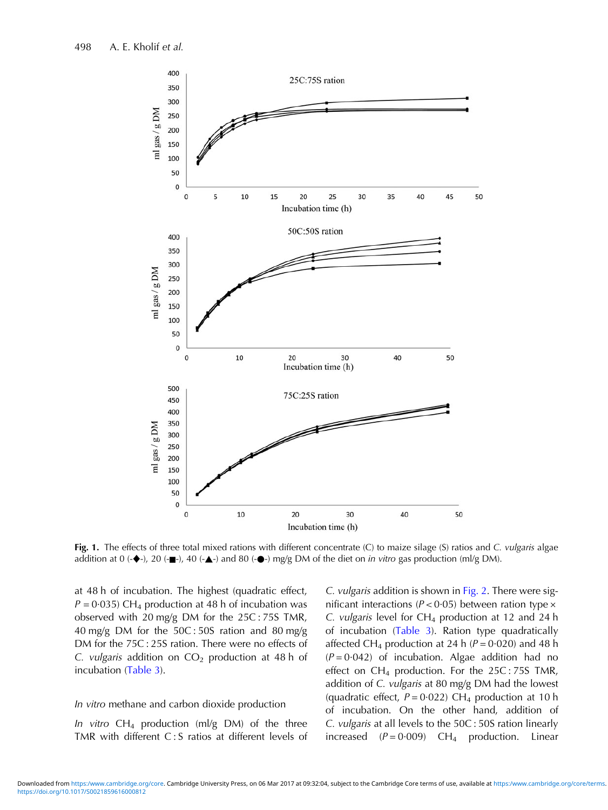<span id="page-4-0"></span>

Fig. 1. The effects of three total mixed rations with different concentrate (C) to maize silage (S) ratios and C. vulgaris algae addition at 0 (- $\blacklozenge$ -), 20 (- $\blacktriangleright$ -), 40 (- $\blacktriangle$ -) and 80 (- $\blacklozenge$ -) mg/g DM of the diet on *in vitro* gas production (ml/g DM).

at 48 h of incubation. The highest (quadratic effect,  $P = 0.035$ ) CH<sub>4</sub> production at 48 h of incubation was observed with 20 mg/g DM for the 25C : 75S TMR, 40 mg/g DM for the 50C : 50S ration and 80 mg/g DM for the 75C : 25S ration. There were no effects of C. vulgaris addition on  $CO<sub>2</sub>$  production at 48 h of incubation ([Table 3\)](#page-5-0).

#### In vitro methane and carbon dioxide production

In vitro  $CH_4$  production (ml/g DM) of the three TMR with different C : S ratios at different levels of C. vulgaris addition is shown in [Fig. 2](#page-6-0). There were significant interactions ( $P < 0.05$ ) between ration type  $\times$ C. vulgaris level for  $CH_4$  production at 12 and 24 h of incubation [\(Table 3\)](#page-5-0). Ration type quadratically affected CH<sub>4</sub> production at 24 h ( $P = 0.020$ ) and 48 h  $(P = 0.042)$  of incubation. Algae addition had no effect on  $CH_4$  production. For the 25C: 75S TMR, addition of C. vulgaris at 80 mg/g DM had the lowest (quadratic effect,  $P = 0.022$ ) CH<sub>4</sub> production at 10 h of incubation. On the other hand, addition of C. vulgaris at all levels to the 50C : 50S ration linearly increased  $(P = 0.009)$  CH<sub>4</sub> production. Linear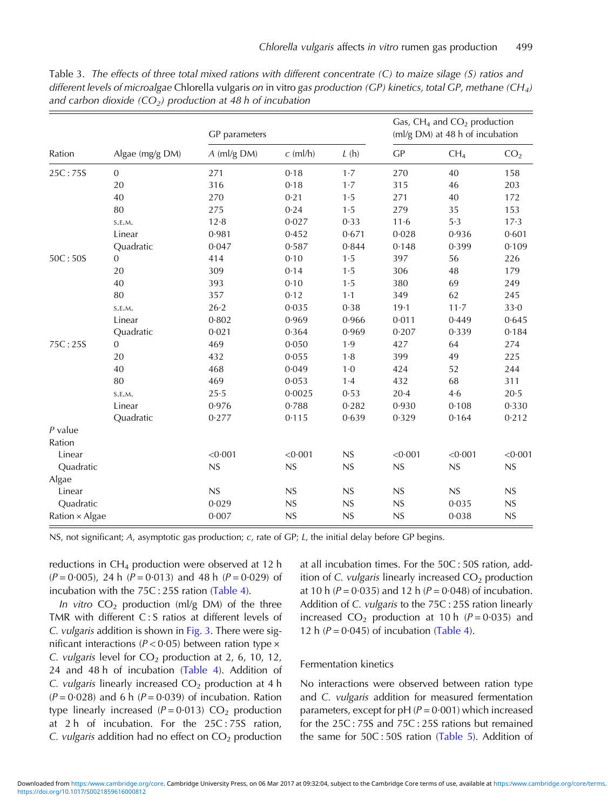|                | Algae (mg/g DM) | GP parameters |            | Gas, $CH_4$ and $CO_2$ production<br>(ml/g DM) at 48 h of incubation |          |                 |                 |
|----------------|-----------------|---------------|------------|----------------------------------------------------------------------|----------|-----------------|-----------------|
| Ration         |                 | $A$ (ml/g DM) | $c$ (ml/h) | L(h)                                                                 | GP       | CH <sub>4</sub> | CO <sub>2</sub> |
| 25C:75S        | $\overline{0}$  | 271           | 0.18       | 1.7                                                                  | 270      | 40              | 158             |
|                | 20              | 316           | 0.18       | 1.7                                                                  | 315      | 46              | 203             |
|                | 40              | 270           | 0.21       | 1.5                                                                  | 271      | 40              | 172             |
|                | 80              | 275           | 0.24       | 1.5                                                                  | 279      | 35              | 153             |
|                | S.E.M.          | 12.8          | 0.027      | 0.33                                                                 | 11·6     | 5.3             | 17.3            |
|                | Linear          | 0.981         | 0.452      | 0.671                                                                | 0.028    | 0.936           | 0.601           |
|                | Quadratic       | 0.047         | 0.587      | 0.844                                                                | 0.148    | 0.399           | 0.109           |
| 50C:50S        | $\mathbf{0}$    | 414           | 0.10       | 1.5                                                                  | 397      | 56              | 226             |
|                | 20              | 309           | 0.14       | 1.5                                                                  | 306      | 48              | 179             |
|                | 40              | 393           | 0.10       | 1.5                                                                  | 380      | 69              | 249             |
|                | 80              | 357           | 0.12       | $1-1$                                                                | 349      | 62              | 245             |
|                | S.E.M.          | $26 - 2$      | 0.035      | 0.38                                                                 | 19.1     | $11 - 7$        | $33-0$          |
|                | Linear          | 0.802         | 0.969      | 0.966                                                                | 0.011    | 0.449           | 0.645           |
|                | Quadratic       | 0.021         | 0.364      | 0.969                                                                | 0.207    | 0.339           | 0.184           |
| 75C:25S        | $\mathbf{0}$    | 469           | 0.050      | 1.9                                                                  | 427      | 64              | 274             |
|                | 20              | 432           | 0.055      | 1.8                                                                  | 399      | 49              | 225             |
|                | 40              | 468           | 0.049      | $1-0$                                                                | 424      | 52              | 244             |
|                | 80              | 469           | 0.053      | 1.4                                                                  | 432      | 68              | 311             |
|                | S.E.M.          | 25.5          | 0.0025     | 0.53                                                                 | $20 - 4$ | 4.6             | $20·5$          |
|                | Linear          | 0.976         | 0.788      | 0.282                                                                | 0.930    | 0.108           | 0.330           |
|                | Quadratic       | 0.277         | 0.115      | 0.639                                                                | 0.329    | 0.164           | 0.212           |
| $P$ value      |                 |               |            |                                                                      |          |                 |                 |
| Ration         |                 |               |            |                                                                      |          |                 |                 |
| Linear         |                 | < 0.001       | < 0.001    | NS                                                                   | < 0.001  | < 0.001         | < 0.001         |
| Quadratic      |                 | NS            | NS         | NS                                                                   | NS       | NS              | NS              |
| Algae          |                 |               |            |                                                                      |          |                 |                 |
| Linear         |                 | NS            | NS         | NS                                                                   | NS       | NS              | NS              |
| Quadratic      |                 | 0.029         | NS         | NS                                                                   | NS       | 0.035           | ${\sf NS}$      |
| Ration × Algae |                 | 0.007         | NS         | NS                                                                   | NS       | 0.038           | NS              |

<span id="page-5-0"></span>Table 3. The effects of three total mixed rations with different concentrate (C) to maize silage (S) ratios and different levels of microalgae Chlorella vulgaris on in vitro gas production (GP) kinetics, total GP, methane (CH<sub>4</sub>) and carbon dioxide (CO<sub>2</sub>) production at 48 h of incubation

NS, not significant; A, asymptotic gas production; c, rate of GP; L, the initial delay before GP begins.

reductions in  $CH_4$  production were observed at 12 h  $(P = 0.005)$ , 24 h  $(P = 0.013)$  and 48 h  $(P = 0.029)$  of incubation with the 75C : 25S ration ([Table 4](#page-7-0)).

In vitro  $CO<sub>2</sub>$  production (ml/g DM) of the three TMR with different C : S ratios at different levels of C. vulgaris addition is shown in [Fig. 3](#page-8-0). There were significant interactions ( $P < 0.05$ ) between ration type  $\times$ C. vulgaris level for  $CO<sub>2</sub>$  production at 2, 6, 10, 12, 24 and 48 h of incubation [\(Table 4](#page-7-0)). Addition of C. vulgaris linearly increased  $CO<sub>2</sub>$  production at 4 h  $(P = 0.028)$  and 6 h  $(P = 0.039)$  of incubation. Ration type linearly increased  $(P = 0.013)$  CO<sub>2</sub> production at 2 h of incubation. For the 25C : 75S ration, C. *vulgaris* addition had no effect on  $CO<sub>2</sub>$  production

at all incubation times. For the 50C : 50S ration, addition of C. vulgaris linearly increased  $CO<sub>2</sub>$  production at 10 h ( $P = 0.035$ ) and 12 h ( $P = 0.048$ ) of incubation. Addition of C. vulgaris to the 75C : 25S ration linearly increased  $CO<sub>2</sub>$  production at 10 h ( $P = 0.035$ ) and 12 h ( $P = 0.045$ ) of incubation ([Table 4](#page-7-0)).

#### Fermentation kinetics

No interactions were observed between ration type and C. vulgaris addition for measured fermentation parameters, except for  $pH (P = 0.001)$  which increased for the 25C : 75S and 75C : 25S rations but remained the same for 50C : 50S ration ([Table 5](#page-9-0)). Addition of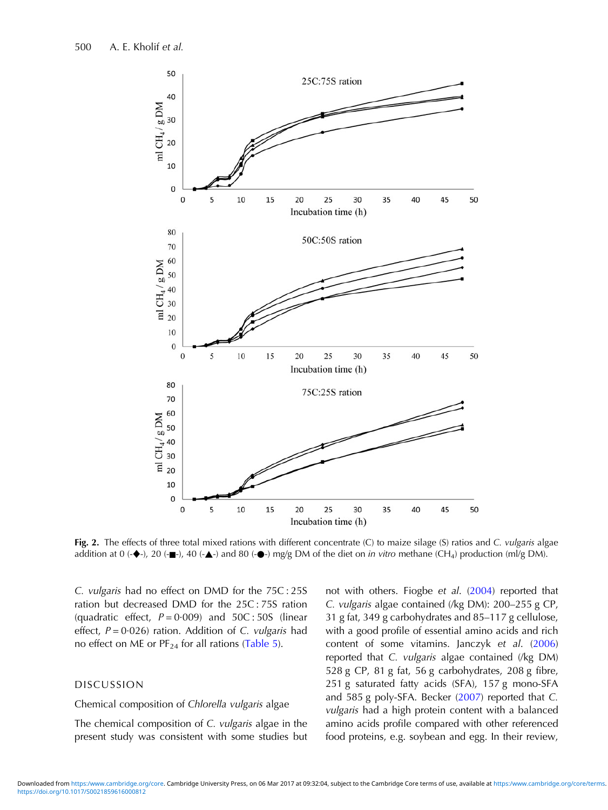<span id="page-6-0"></span>

Fig. 2. The effects of three total mixed rations with different concentrate (C) to maize silage (S) ratios and C. vulgaris algae addition at 0 ( $\blacklozenge$ ), 20 ( $\blacktriangle$ -), 40 ( $\blacktriangle$ -) and 80 ( $\blacklozenge$ -) mg/g DM of the diet on *in vitro* methane (CH<sub>4</sub>) production (ml/g DM).

C. vulgaris had no effect on DMD for the 75C : 25S ration but decreased DMD for the 25C : 75S ration (quadratic effect,  $P = 0.009$ ) and  $50C : 50S$  (linear effect,  $P = 0.026$ ) ration. Addition of C. vulgaris had no effect on ME or  $PF_{24}$  for all rations ([Table 5](#page-9-0)).

# DISCUSSION

#### Chemical composition of Chlorella vulgaris algae

The chemical composition of C. vulgaris algae in the present study was consistent with some studies but not with others. Fiogbe et al. [\(2004](#page-12-0)) reported that C. vulgaris algae contained (/kg DM): 200–255 g CP, 31 g fat, 349 g carbohydrates and 85–117 g cellulose, with a good profile of essential amino acids and rich content of some vitamins. Janczyk et al. [\(2006](#page-12-0)) reported that C. vulgaris algae contained (/kg DM) 528 g CP, 81 g fat, 56 g carbohydrates, 208 g fibre, 251 g saturated fatty acids (SFA), 157 g mono-SFA and 585 g poly-SFA. Becker ([2007](#page-11-0)) reported that C. vulgaris had a high protein content with a balanced amino acids profile compared with other referenced food proteins, e.g. soybean and egg. In their review,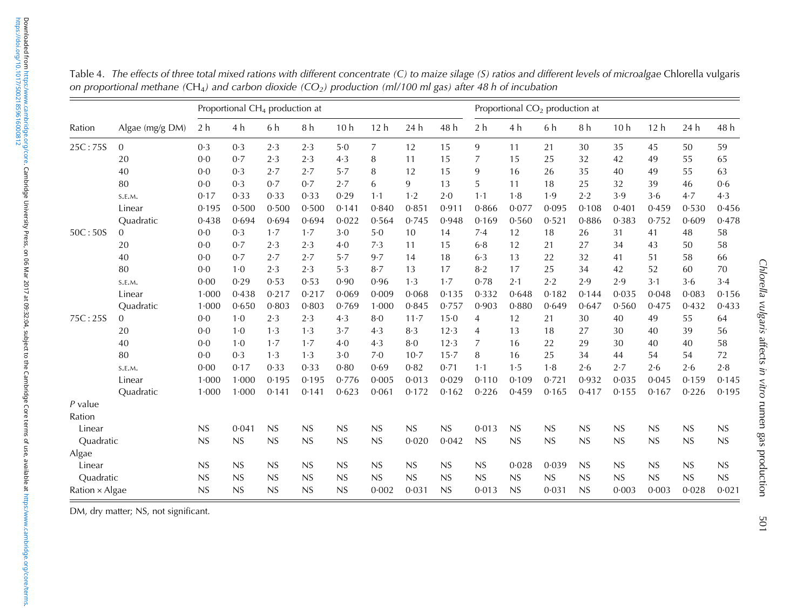|                       |                 |                | Proportional CH <sub>4</sub> production at |       |       |                 |             |          |           |                |             | Proportional CO <sub>2</sub> production at |       |                 |                 |       |       |
|-----------------------|-----------------|----------------|--------------------------------------------|-------|-------|-----------------|-------------|----------|-----------|----------------|-------------|--------------------------------------------|-------|-----------------|-----------------|-------|-------|
| Ration                | Algae (mg/g DM) | 2 <sub>h</sub> | 4 h                                        | 6 h   | 8 h   | 10 <sub>h</sub> | 12h         | 24 h     | 48 h      | 2 <sub>h</sub> | 4 h         | 6 h                                        | 8 h   | 10 <sub>h</sub> | 12 <sub>h</sub> | 24 h  | 48 h  |
| 25C:75S               | $\Omega$        | 0.3            | 0.3                                        | 2.3   | 2.3   | 5.0             | 7           | 12       | 15        | 9              | 11          | 21                                         | 30    | 35              | 45              | 50    | 59    |
|                       | 20              | 0.0            | 0.7                                        | 2.3   | 2.3   | 4.3             | 8           | 11       | 15        | 7              | 15          | 25                                         | 32    | 42              | 49              | 55    | 65    |
|                       | 40              | 0.0            | 0.3                                        | 2.7   | 2.7   | 5.7             | 8           | 12       | 15        | 9              | 16          | 26                                         | 35    | 40              | 49              | 55    | 63    |
|                       | 80              | 0.0            | 0.3                                        | 0.7   | 0.7   | 2.7             | 6           | 9        | 13        | 5              | 11          | 18                                         | 25    | 32              | 39              | 46    | 0.6   |
|                       | S.E.M.          | 0.17           | 0.33                                       | 0.33  | 0.33  | 0.29            | $1 \cdot 1$ | 1·2      | 2.0       | $1-1$          | 1.8         | 1.9                                        | 2.2   | 3.9             | 3.6             | 4.7   | 4.3   |
|                       | Linear          | 0.195          | 0.500                                      | 0.500 | 0.500 | 0.141           | 0.840       | 0.851    | 0.911     | 0.866          | 0.077       | 0.095                                      | 0.108 | 0.401           | 0.459           | 0.530 | 0.456 |
|                       | Quadratic       | 0.438          | 0.694                                      | 0.694 | 0.694 | 0.022           | 0.564       | 0.745    | 0.948     | 0.169          | 0.560       | 0.521                                      | 0.886 | 0.383           | 0.752           | 0.609 | 0.478 |
| 50C:50S               | $\Omega$        | 0.0            | 0.3                                        | 1.7   | 1.7   | 3.0             | 5.0         | 10       | 14        | 7.4            | 12          | 18                                         | 26    | 31              | 41              | 48    | 58    |
|                       | 20              | 0.0            | 0.7                                        | 2.3   | 2.3   | $4-0$           | 7.3         | 11       | 15        | 6.8            | 12          | 21                                         | 27    | 34              | 43              | 50    | 58    |
|                       | 40              | 0.0            | 0.7                                        | 2.7   | 2.7   | 5.7             | 9.7         | 14       | 18        | 6.3            | 13          | 22                                         | 32    | 41              | 51              | 58    | 66    |
|                       | 80              | 0.0            | 1.0                                        | 2.3   | 2.3   | 5.3             | 8.7         | 13       | 17        | $8-2$          | 17          | 25                                         | 34    | 42              | 52              | 60    | 70    |
|                       | S.E.M.          | 0.00           | 0.29                                       | 0.53  | 0.53  | 0.90            | 0.96        | 1.3      | 1.7       | 0.78           | $2 \cdot 1$ | 2.2                                        | 2.9   | 2.9             | 3.1             | 3.6   | 3.4   |
|                       | Linear          | 1.000          | 0.438                                      | 0.217 | 0.217 | 0.069           | 0.009       | 0.068    | 0.135     | 0.332          | 0.648       | 0.182                                      | 0.144 | 0.035           | 0.048           | 0.083 | 0.156 |
|                       | Quadratic       | 1.000          | 0.650                                      | 0.803 | 0.803 | 0.769           | 1.000       | 0.845    | 0.757     | 0.903          | 0.880       | 0.649                                      | 0.647 | 0.560           | 0.475           | 0.432 | 0.433 |
| 75C:25S               | $\overline{0}$  | 0.0            | 1.0                                        | 2.3   | 2.3   | 4.3             | 8·0         | $11 - 7$ | $15 - 0$  | 4              | 12          | 21                                         | 30    | 40              | 49              | 55    | 64    |
|                       | 20              | 0.0            | 1.0                                        | 1.3   | 1.3   | 3.7             | 4.3         | 8.3      | 12.3      | 4              | 13          | 18                                         | 27    | 30              | 40              | 39    | 56    |
|                       | 40              | 0.0            | 1.0                                        | 1.7   | 1.7   | 4.0             | 4.3         | 8.0      | 12.3      | 7              | 16          | 22                                         | 29    | 30              | 40              | 40    | 58    |
|                       | 80              | 0.0            | 0.3                                        | 1.3   | 1.3   | 3.0             | 7.0         | $10-7$   | 15.7      | 8              | 16          | 25                                         | 34    | 44              | 54              | 54    | 72    |
|                       | S.E.M.          | 0.00           | 0.17                                       | 0.33  | 0.33  | 0.80            | 0.69        | 0.82     | 0.71      | $1-1$          | 1.5         | 1.8                                        | 2.6   | 2.7             | 2.6             | 2.6   | 2.8   |
|                       | Linear          | 1.000          | 1.000                                      | 0.195 | 0.195 | 0.776           | 0.005       | 0.013    | 0.029     | 0.110          | 0.109       | 0.721                                      | 0.932 | 0.035           | 0.045           | 0.159 | 0.145 |
|                       | Quadratic       | 1.000          | 1.000                                      | 0.141 | 0.141 | 0.623           | 0.061       | 0.172    | 0.162     | 0.226          | 0.459       | 0.165                                      | 0.417 | 0.155           | 0.167           | 0.226 | 0.195 |
| $P$ value             |                 |                |                                            |       |       |                 |             |          |           |                |             |                                            |       |                 |                 |       |       |
| Ration                |                 |                |                                            |       |       |                 |             |          |           |                |             |                                            |       |                 |                 |       |       |
| Linear                |                 | NS             | 0.041                                      | NS    | NS    | NS              | NS          | NS       | NS        | 0.013          | NS          | <b>NS</b>                                  | NS    | NS              | NS              | NS    | NS    |
| Quadratic             |                 | NS             | <b>NS</b>                                  | NS    | NS    | NS              | NS          | 0.020    | 0.042     | NS             | NS          | NS                                         | NS    | NS              | NS              | NS    | NS    |
| Algae                 |                 |                |                                            |       |       |                 |             |          |           |                |             |                                            |       |                 |                 |       |       |
| Linear                |                 | <b>NS</b>      | NS                                         | NS    | NS    | <b>NS</b>       | NS          | NS       | NS        | NS             | 0.028       | 0.039                                      | NS    | NS              | NS              | NS    | NS    |
| Quadratic             |                 | NS             | NS                                         | NS    | NS    | <b>NS</b>       | NS          | NS       | NS        | NS             | NS          | NS                                         | NS    | <b>NS</b>       | NS              | NS    | NS    |
| Ration $\times$ Algae |                 | <b>NS</b>      | <b>NS</b>                                  | NS    | NS    | NS              | 0.002       | 0.031    | <b>NS</b> | 0.013          | NS          | 0.031                                      | NS    | 0.003           | 0.003           | 0.028 | 0.021 |

<span id="page-7-0"></span>Table 4. The effects of three total mixed rations with different concentrate (C) to maize silage (S) ratios and different levels of microalgae Chlorella vulgaris on proportional methane (CH<sub>4</sub>) and carbon dioxide (CO<sub>2</sub>) production (ml/100 ml gas) after 48 h of incubation

DM, dry matter; NS, not significant.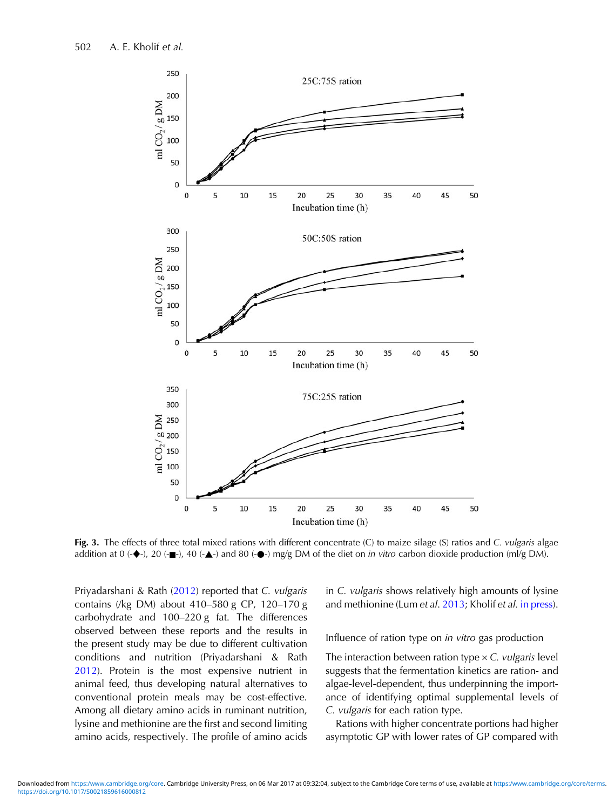<span id="page-8-0"></span>

Fig. 3. The effects of three total mixed rations with different concentrate (C) to maize silage (S) ratios and C. vulgaris algae addition at 0 ( $\blacklozenge$ ), 20 ( $\blacktriangle$ -), 40 ( $\blacktriangle$ -) and 80 ( $\blacklozenge$ -) mg/g DM of the diet on *in vitro* carbon dioxide production (ml/g DM).

Priyadarshani & Rath ([2012\)](#page-13-0) reported that C. vulgaris contains (/kg DM) about 410–580 g CP, 120–170 g carbohydrate and 100–220 g fat. The differences observed between these reports and the results in the present study may be due to different cultivation conditions and nutrition (Priyadarshani & Rath [2012](#page-13-0)). Protein is the most expensive nutrient in animal feed, thus developing natural alternatives to conventional protein meals may be cost-effective. Among all dietary amino acids in ruminant nutrition, lysine and methionine are the first and second limiting amino acids, respectively. The profile of amino acids

in C. vulgaris shows relatively high amounts of lysine and methionine (Lum et al. [2013;](#page-12-0) Kholif et al. [in press\)](#page-12-0).

Influence of ration type on in vitro gas production

The interaction between ration type  $\times$  C. *vulgaris* level suggests that the fermentation kinetics are ration- and algae-level-dependent, thus underpinning the importance of identifying optimal supplemental levels of C. vulgaris for each ration type.

Rations with higher concentrate portions had higher asymptotic GP with lower rates of GP compared with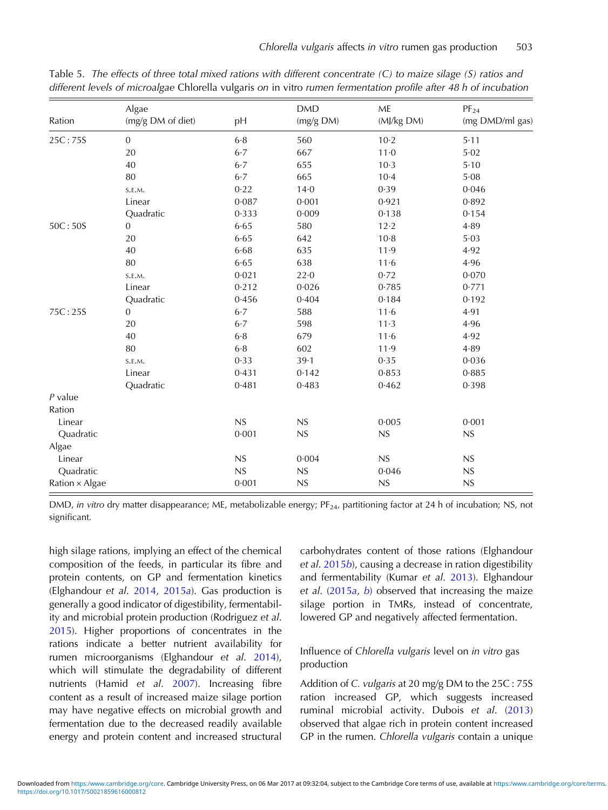|                | Algae             |       | <b>DMD</b> | ME         | $PF_{24}$       |
|----------------|-------------------|-------|------------|------------|-----------------|
| Ration         | (mg/g DM of diet) | pH    | (mg/g DM)  | (MJ/kg DM) | (mg DMD/ml gas) |
| 25C:75S        | $\boldsymbol{0}$  | $6·8$ | 560        | $10-2$     | 5.11            |
|                | 20                | $6.7$ | 667        | $11-0$     | 5.02            |
|                | $40\,$            | 6.7   | 655        | $10-3$     | 5.10            |
|                | 80                | 6.7   | 665        | $10 - 4$   | 5.08            |
|                | S.E.M.            | 0.22  | $14-0$     | 0.39       | 0.046           |
|                | Linear            | 0.087 | 0.001      | 0.921      | 0.892           |
|                | Quadratic         | 0.333 | 0.009      | 0.138      | 0.154           |
| 50C:50S        | $\boldsymbol{0}$  | 6.65  | 580        | 12.2       | 4.89            |
|                | 20                | 6.65  | 642        | $10-8$     | 5.03            |
|                | 40                | 6.68  | 635        | 11.9       | 4.92            |
|                | 80                | 6.65  | 638        | 11.6       | 4.96            |
|                | S.E.M.            | 0.021 | 22.0       | 0.72       | 0.070           |
|                | Linear            | 0.212 | 0.026      | 0.785      | 0.771           |
|                | Quadratic         | 0.456 | 0.404      | 0.184      | 0.192           |
| 75C:25S        | $\mathbf{0}$      | $6-7$ | 588        | 11.6       | 4.91            |
|                | 20                | 6.7   | 598        | $11-3$     | 4.96            |
|                | 40                | 6.8   | 679        | 11·6       | 4.92            |
|                | 80                | 6.8   | 602        | 11.9       | 4.89            |
|                | S.E.M.            | 0.33  | $39 - 1$   | 0.35       | 0.036           |
|                | Linear            | 0.431 | 0.142      | 0.853      | 0.885           |
|                | Quadratic         | 0.481 | 0.483      | 0.462      | 0.398           |
| $P$ value      |                   |       |            |            |                 |
| Ration         |                   |       |            |            |                 |
| Linear         |                   | NS    | NS         | 0.005      | 0.001           |
| Quadratic      |                   | 0.001 | NS         | NS         | NS              |
| Algae          |                   |       |            |            |                 |
| Linear         |                   | NS    | 0.004      | NS         | NS              |
| Quadratic      |                   | NS    | NS         | 0.046      | ${\sf NS}$      |
| Ration × Algae |                   | 0.001 | NS         | NS         | NS              |

<span id="page-9-0"></span>Table 5. The effects of three total mixed rations with different concentrate (C) to maize silage (S) ratios and different levels of microalgae Chlorella vulgaris on in vitro rumen fermentation profile after 48 h of incubation

DMD, in vitro dry matter disappearance; ME, metabolizable energy; PF<sub>24</sub>, partitioning factor at 24 h of incubation; NS, not significant.

high silage rations, implying an effect of the chemical composition of the feeds, in particular its fibre and protein contents, on GP and fermentation kinetics (Elghandour et al. [2014](#page-11-0), [2015](#page-12-0)a). Gas production is generally a good indicator of digestibility, fermentability and microbial protein production (Rodriguez et al. [2015](#page-13-0)). Higher proportions of concentrates in the rations indicate a better nutrient availability for rumen microorganisms (Elghandour et al. [2014\)](#page-11-0), which will stimulate the degradability of different nutrients (Hamid et al. [2007\)](#page-12-0). Increasing fibre content as a result of increased maize silage portion may have negative effects on microbial growth and fermentation due to the decreased readily available energy and protein content and increased structural carbohydrates content of those rations (Elghandour et al. [2015](#page-12-0)b), causing a decrease in ration digestibility and fermentability (Kumar et al. [2013](#page-12-0)). Elghandour et al.  $(2015a, b)$  $(2015a, b)$  $(2015a, b)$  $(2015a, b)$  $(2015a, b)$  observed that increasing the maize silage portion in TMRs, instead of concentrate, lowered GP and negatively affected fermentation.

# Influence of Chlorella vulgaris level on in vitro gas production

Addition of C. vulgaris at 20 mg/g DM to the 25C : 75S ration increased GP, which suggests increased ruminal microbial activity. Dubois et al. [\(2013](#page-11-0)) observed that algae rich in protein content increased GP in the rumen. Chlorella vulgaris contain a unique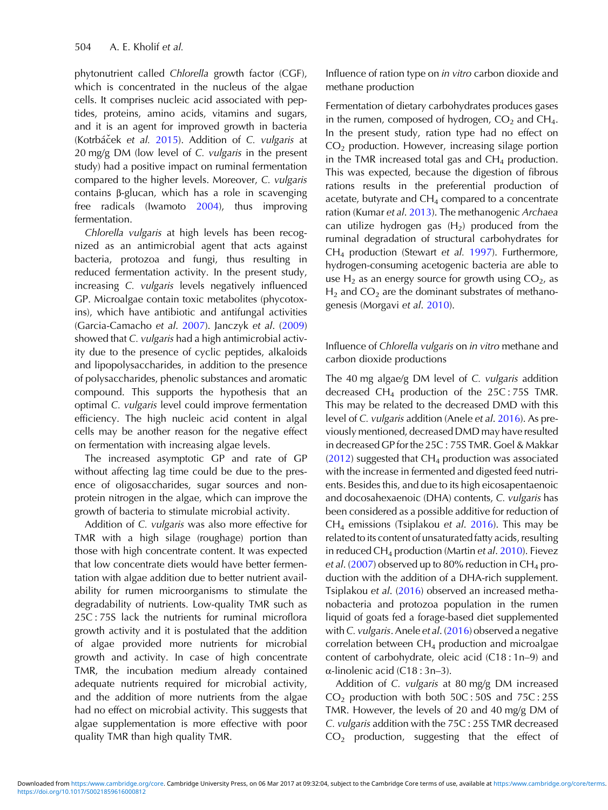phytonutrient called Chlorella growth factor (CGF), which is concentrated in the nucleus of the algae cells. It comprises nucleic acid associated with peptides, proteins, amino acids, vitamins and sugars, and it is an agent for improved growth in bacteria (Kotrbáček et al. [2015\)](#page-12-0). Addition of C. vulgaris at 20 mg/g DM (low level of C. vulgaris in the present study) had a positive impact on ruminal fermentation compared to the higher levels. Moreover, C. vulgaris contains β-glucan, which has a role in scavenging free radicals (Iwamoto [2004](#page-12-0)), thus improving fermentation.

Chlorella vulgaris at high levels has been recognized as an antimicrobial agent that acts against bacteria, protozoa and fungi, thus resulting in reduced fermentation activity. In the present study, increasing C. vulgaris levels negatively influenced GP. Microalgae contain toxic metabolites (phycotoxins), which have antibiotic and antifungal activities (Garcia-Camacho et al. [2007\)](#page-12-0). Janczyk et al. [\(2009](#page-12-0)) showed that C. vulgaris had a high antimicrobial activity due to the presence of cyclic peptides, alkaloids and lipopolysaccharides, in addition to the presence of polysaccharides, phenolic substances and aromatic compound. This supports the hypothesis that an optimal C. vulgaris level could improve fermentation efficiency. The high nucleic acid content in algal cells may be another reason for the negative effect on fermentation with increasing algae levels.

The increased asymptotic GP and rate of GP without affecting lag time could be due to the presence of oligosaccharides, sugar sources and nonprotein nitrogen in the algae, which can improve the growth of bacteria to stimulate microbial activity.

Addition of C. vulgaris was also more effective for TMR with a high silage (roughage) portion than those with high concentrate content. It was expected that low concentrate diets would have better fermentation with algae addition due to better nutrient availability for rumen microorganisms to stimulate the degradability of nutrients. Low-quality TMR such as 25C : 75S lack the nutrients for ruminal microflora growth activity and it is postulated that the addition of algae provided more nutrients for microbial growth and activity. In case of high concentrate TMR, the incubation medium already contained adequate nutrients required for microbial activity, and the addition of more nutrients from the algae had no effect on microbial activity. This suggests that algae supplementation is more effective with poor quality TMR than high quality TMR.

Influence of ration type on in vitro carbon dioxide and methane production

Fermentation of dietary carbohydrates produces gases in the rumen, composed of hydrogen,  $CO<sub>2</sub>$  and  $CH<sub>4</sub>$ . In the present study, ration type had no effect on  $CO<sub>2</sub>$  production. However, increasing silage portion in the TMR increased total gas and  $CH<sub>4</sub>$  production. This was expected, because the digestion of fibrous rations results in the preferential production of acetate, butyrate and  $CH<sub>4</sub>$  compared to a concentrate ration (Kumar et al. [2013](#page-12-0)). The methanogenic Archaea can utilize hydrogen gas  $(H<sub>2</sub>)$  produced from the ruminal degradation of structural carbohydrates for CH4 production (Stewart et al. [1997](#page-13-0)). Furthermore, hydrogen-consuming acetogenic bacteria are able to use  $H_2$  as an energy source for growth using  $CO_2$ , as  $H_2$  and  $CO_2$  are the dominant substrates of methanogenesis (Morgavi et al. [2010](#page-12-0)).

Influence of Chlorella vulgaris on in vitro methane and carbon dioxide productions

The 40 mg algae/g DM level of C. vulgaris addition decreased  $CH_4$  production of the 25C: 75S TMR. This may be related to the decreased DMD with this level of C. vulgaris addition (Anele et al. [2016\)](#page-11-0). As previously mentioned, decreased DMD may have resulted in decreased GP for the 25C : 75S TMR. Goel & Makkar  $(2012)$  $(2012)$  suggested that  $CH<sub>4</sub>$  production was associated with the increase in fermented and digested feed nutrients. Besides this, and due to its high eicosapentaenoic and docosahexaenoic (DHA) contents, C. vulgaris has been considered as a possible additive for reduction of  $CH<sub>4</sub>$  emissions (Tsiplakou et al. [2016](#page-13-0)). This may be related to its content of unsaturated fatty acids, resulting in reduced CH<sub>4</sub> production (Martin et al. [2010\)](#page-12-0). Fievez et al. ([2007\)](#page-12-0) observed up to 80% reduction in CH<sub>4</sub> production with the addition of a DHA-rich supplement. Tsiplakou et al. [\(2016](#page-13-0)) observed an increased methanobacteria and protozoa population in the rumen liquid of goats fed a forage-based diet supplemented with C. vulgaris. Anele et al. ([2016\)](#page-11-0) observed a negative correlation between  $CH_4$  production and microalgae content of carbohydrate, oleic acid (C18 : 1n–9) and α-linolenic acid (C18 : 3n–3).

Addition of C. vulgaris at 80 mg/g DM increased  $CO<sub>2</sub>$  production with both  $50C:50S$  and  $75C:25S$ TMR. However, the levels of 20 and 40 mg/g DM of C. vulgaris addition with the 75C : 25S TMR decreased  $CO<sub>2</sub>$  production, suggesting that the effect of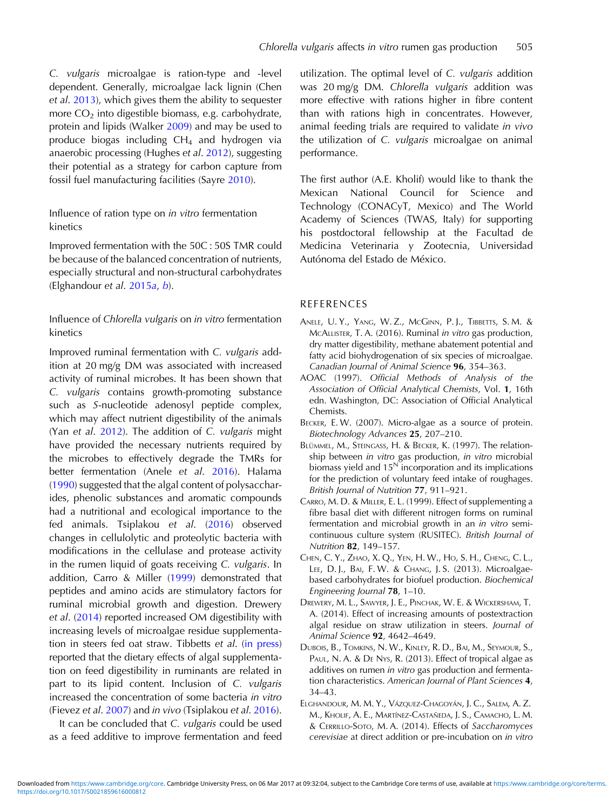<span id="page-11-0"></span>C. vulgaris microalgae is ration-type and -level dependent. Generally, microalgae lack lignin (Chen et al. 2013), which gives them the ability to sequester more  $CO<sub>2</sub>$  into digestible biomass, e.g. carbohydrate, protein and lipids (Walker [2009](#page-13-0)) and may be used to produce biogas including  $CH<sub>4</sub>$  and hydrogen via anaerobic processing (Hughes et al. [2012](#page-12-0)), suggesting their potential as a strategy for carbon capture from fossil fuel manufacturing facilities (Sayre [2010](#page-13-0)).

# Influence of ration type on in vitro fermentation kinetics

Improved fermentation with the 50C : 50S TMR could be because of the balanced concentration of nutrients, especially structural and non-structural carbohydrates (Elghandour et al. [2015](#page-12-0)a, [b](#page-12-0)).

# Influence of Chlorella vulgaris on in vitro fermentation kinetics

Improved ruminal fermentation with C. vulgaris addition at 20 mg/g DM was associated with increased activity of ruminal microbes. It has been shown that C. vulgaris contains growth-promoting substance such as S-nucleotide adenosyl peptide complex, which may affect nutrient digestibility of the animals (Yan et al. [2012](#page-13-0)). The addition of C. vulgaris might have provided the necessary nutrients required by the microbes to effectively degrade the TMRs for better fermentation (Anele et al. 2016). Halama ([1990](#page-12-0)) suggested that the algal content of polysaccharides, phenolic substances and aromatic compounds had a nutritional and ecological importance to the fed animals. Tsiplakou et al. ([2016\)](#page-13-0) observed changes in cellulolytic and proteolytic bacteria with modifications in the cellulase and protease activity in the rumen liquid of goats receiving C. vulgaris. In addition, Carro & Miller (1999) demonstrated that peptides and amino acids are stimulatory factors for ruminal microbial growth and digestion. Drewery et al. (2014) reported increased OM digestibility with increasing levels of microalgae residue supplementation in steers fed oat straw. Tibbetts et al. ([in press](#page-13-0)) reported that the dietary effects of algal supplementation on feed digestibility in ruminants are related in part to its lipid content. Inclusion of C. vulgaris increased the concentration of some bacteria in vitro (Fievez et al. [2007\)](#page-12-0) and in vivo (Tsiplakou et al. [2016\)](#page-13-0).

It can be concluded that C. vulgaris could be used as a feed additive to improve fermentation and feed

utilization. The optimal level of C. vulgaris addition was 20 mg/g DM. Chlorella vulgaris addition was more effective with rations higher in fibre content than with rations high in concentrates. However, animal feeding trials are required to validate in vivo the utilization of C. vulgaris microalgae on animal performance.

The first author (A.E. Kholif) would like to thank the Mexican National Council for Science and Technology (CONACyT, Mexico) and The World Academy of Sciences (TWAS, Italy) for supporting his postdoctoral fellowship at the Facultad de Medicina Veterinaria y Zootecnia, Universidad Autónoma del Estado de México.

### REFERENCES

- ANELE, U. Y., YANG, W. Z., MCGINN, P. J., TIBBETTS, S. M. & MCALLISTER, T. A. (2016). Ruminal in vitro gas production, dry matter digestibility, methane abatement potential and fatty acid biohydrogenation of six species of microalgae. Canadian Journal of Animal Science 96, 354–363.
- AOAC (1997). Official Methods of Analysis of the Association of Official Analytical Chemists, Vol. 1, 16th edn. Washington, DC: Association of Official Analytical Chemists.
- BECKER, E. W. (2007). Micro-algae as a source of protein. Biotechnology Advances 25, 207–210.
- BLÜMMEL, M., STEINGASS, H. & BECKER, K. (1997). The relationship between in vitro gas production, in vitro microbial biomass yield and  $15<sup>N</sup>$  incorporation and its implications for the prediction of voluntary feed intake of roughages. British Journal of Nutrition 77, 911–921.
- CARRO, M. D. & MILLER, E. L. (1999). Effect of supplementing a fibre basal diet with different nitrogen forms on ruminal fermentation and microbial growth in an in vitro semicontinuous culture system (RUSITEC). British Journal of Nutrition 82, 149–157.
- CHEN, C. Y., ZHAO, X. Q., YEN, H. W., HO, S. H., CHENG, C. L., LEE, D. J., BAI, F. W. & CHANG, J. S. (2013). Microalgaebased carbohydrates for biofuel production. Biochemical Engineering Journal 78, 1–10.
- DREWERY, M. L., SAWYER, J. E., PINCHAK, W. E. & WICKERSHAM, T. A. (2014). Effect of increasing amounts of postextraction algal residue on straw utilization in steers. Journal of Animal Science 92, 4642–4649.
- DUBOIS, B., TOMKINS, N. W., KINLEY, R. D., BAI, M., SEYMOUR, S., PAUL, N. A. & DE NYS, R. (2013). Effect of tropical algae as additives on rumen in vitro gas production and fermentation characteristics. American Journal of Plant Sciences 4, 34–43.
- ELGHANDOUR, M. M. Y., VÁZQUEZ-CHAGOYÁN, J. C., SALEM, A. Z. M., KHOLIF, A. E., MARTÍNEZ-CASTAÑEDA, J. S., CAMACHO, L. M. & CERRILLO-SOTO, M. A. (2014). Effects of Saccharomyces cerevisiae at direct addition or pre-incubation on in vitro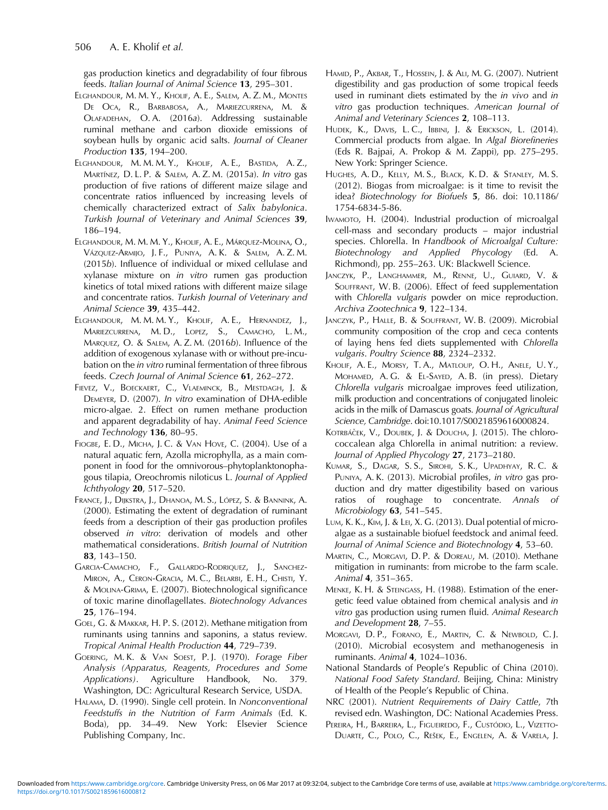<span id="page-12-0"></span>gas production kinetics and degradability of four fibrous feeds. Italian Journal of Animal Science 13, 295–301.

- ELGHANDOUR, M. M. Y., KHOLIF, A. E., SALEM, A. Z. M., MONTES DE OCA, R., BARBABOSA, A., MARIEZCURRENA, M. & OLAFADEHAN, O. A. (2016a). Addressing sustainable ruminal methane and carbon dioxide emissions of soybean hulls by organic acid salts. Journal of Cleaner Production 135, 194–200.
- ELGHANDOUR, M. M. M. Y., KHOLIF, A. E., BASTIDA, A. Z., MARTÍNEZ, D. L. P. & SALEM, A. Z. M. (2015a). In vitro gas production of five rations of different maize silage and concentrate ratios influenced by increasing levels of chemically characterized extract of Salix babylonica. Turkish Journal of Veterinary and Animal Sciences 39, 186–194.
- ELGHANDOUR, M. M. M. Y., KHOLIF, A. E., MÁRQUEZ-MOLINA, O., VÁZQUEZ-ARMIJO, J. F., PUNIYA, A. K. & SALEM, A. Z. M. (2015b). Influence of individual or mixed cellulase and xylanase mixture on in vitro rumen gas production kinetics of total mixed rations with different maize silage and concentrate ratios. Turkish Journal of Veterinary and Animal Science 39, 435–442.
- ELGHANDOUR, M. M. M. Y., KHOLIF, A. E., HERNANDEZ, J., MARIEZCURRENA, M. D., LOPEZ, S., CAMACHO, L. M., MARQUEZ, O. & SALEM, A. Z. M. (2016b). Influence of the addition of exogenous xylanase with or without pre-incubation on the in vitro ruminal fermentation of three fibrous feeds. Czech Journal of Animal Science 61, 262–272.
- FIEVEZ, V., BOECKAERT, C., VLAEMINCK, B., MESTDAGH, J. & DEMEYER, D. (2007). In vitro examination of DHA-edible micro-algae. 2. Effect on rumen methane production and apparent degradability of hay. Animal Feed Science and Technology 136, 80–95.
- FIOGBE, E. D., MICHA, J. C. & VAN HOVE, C. (2004). Use of a natural aquatic fern, Azolla microphylla, as a main component in food for the omnivorous–phytoplanktonophagous tilapia, Oreochromis niloticus L. Journal of Applied Ichthyology 20, 517–520.
- FRANCE, J., DIJKSTRA, J., DHANOA, M. S., LÓPEZ, S. & BANNINK, A. (2000). Estimating the extent of degradation of ruminant feeds from a description of their gas production profiles observed in vitro: derivation of models and other mathematical considerations. British Journal of Nutrition 83, 143–150.
- GARCIA-CAMACHO, F., GALLARDO-RODRIQUEZ, J., SANCHEZ-MIRON, A., CERON-GRACIA, M. C., BELARBI, E. H., CHISTI, Y. & MOLINA-GRIMA, E. (2007). Biotechnological significance of toxic marine dinoflagellates. Biotechnology Advances 25, 176–194.
- GOEL, G. & MAKKAR, H. P. S. (2012). Methane mitigation from ruminants using tannins and saponins, a status review. Tropical Animal Health Production 44, 729–739.
- GOERING, M. K. & VAN SOEST, P. J. (1970). Forage Fiber Analysis (Apparatus, Reagents, Procedures and Some Applications). Agriculture Handbook, No. 379. Washington, DC: Agricultural Research Service, USDA.
- HALAMA, D. (1990). Single cell protein. In Nonconventional Feedstuffs in the Nutrition of Farm Animals (Ed. K. Boda), pp. 34–49. New York: Elsevier Science Publishing Company, Inc.
- HAMID, P., AKBAR, T., HOSSEIN, J. & ALI, M. G. (2007). Nutrient digestibility and gas production of some tropical feeds used in ruminant diets estimated by the in vivo and in vitro gas production techniques. American Journal of Animal and Veterinary Sciences 2, 108–113.
- HUDEK, K., DAVIS, L. C., IBBINI, J. & ERICKSON, L. (2014). Commercial products from algae. In Algal Biorefineries (Eds R. Bajpai, A. Prokop & M. Zappi), pp. 275–295. New York: Springer Science.
- HUGHES, A. D., KELLY, M. S., BLACK, K. D. & STANLEY, M. S. (2012). Biogas from microalgae: is it time to revisit the idea? Biotechnology for Biofuels 5, 86. doi: 10.1186/ 1754-6834-5-86.
- IWAMOTO, H. (2004). Industrial production of microalgal cell-mass and secondary products – major industrial species. Chlorella. In Handbook of Microalgal Culture: Biotechnology and Applied Phycology (Ed. A. Richmond), pp. 255–263. UK: Blackwell Science.
- JANCZYK, P., LANGHAMMER, M., RENNE, U., GUIARD, V. & SOUFFRANT, W. B. (2006). Effect of feed supplementation with Chlorella vulgaris powder on mice reproduction. Archiva Zootechnica 9, 122–134.
- JANCZYK, P., HALLE, B. & SOUFFRANT, W. B. (2009). Microbial community composition of the crop and ceca contents of laying hens fed diets supplemented with Chlorella vulgaris. Poultry Science 88, 2324–2332.
- KHOLIF, A. E., MORSY, T. A., MATLOUP, O. H., ANELE, U. Y., MOHAMED, A. G. & EL-SAYED, A. B. (in press). Dietary Chlorella vulgaris microalgae improves feed utilization, milk production and concentrations of conjugated linoleic acids in the milk of Damascus goats. Journal of Agricultural Science, Cambridge. doi:10.1017/S0021859616000824.
- Kotrbáček, V., Doubek, J. & Doucha, J. (2015). The chlorococcalean alga Chlorella in animal nutrition: a review. Journal of Applied Phycology 27, 2173–2180.
- KUMAR, S., DAGAR, S. S., SIROHI, S. K., UPADHYAY, R. C. & PUNIYA, A. K. (2013). Microbial profiles, in vitro gas production and dry matter digestibility based on various ratios of roughage to concentrate. Annals of Microbiology 63, 541–545.
- LUM, K. K., KIM, J. & LEI, X. G. (2013). Dual potential of microalgae as a sustainable biofuel feedstock and animal feed. Journal of Animal Science and Biotechnology 4, 53–60.
- MARTIN, C., MORGAVI, D. P. & DOREAU, M. (2010). Methane mitigation in ruminants: from microbe to the farm scale. Animal 4, 351–365.
- MENKE, K. H. & STEINGASS, H. (1988). Estimation of the energetic feed value obtained from chemical analysis and in vitro gas production using rumen fluid. Animal Research and Development 28, 7–55.
- MORGAVI, D. P., FORANO, E., MARTIN, C. & NEWBOLD, C. J. (2010). Microbial ecosystem and methanogenesis in ruminants. Animal 4, 1024–1036.
- National Standards of People's Republic of China (2010). National Food Safety Standard. Beijing, China: Ministry of Health of the People's Republic of China.
- NRC (2001). Nutrient Requirements of Dairy Cattle, 7th revised edn. Washington, DC: National Academies Press.
- PEREIRA, H., BARREIRA, L., FIGUEIREDO, F., CUSTÓDIO, L., VIZETTO-DUARTE, C., POLO, C., REŠEK, E., ENGELEN, A. & VARELA, J.